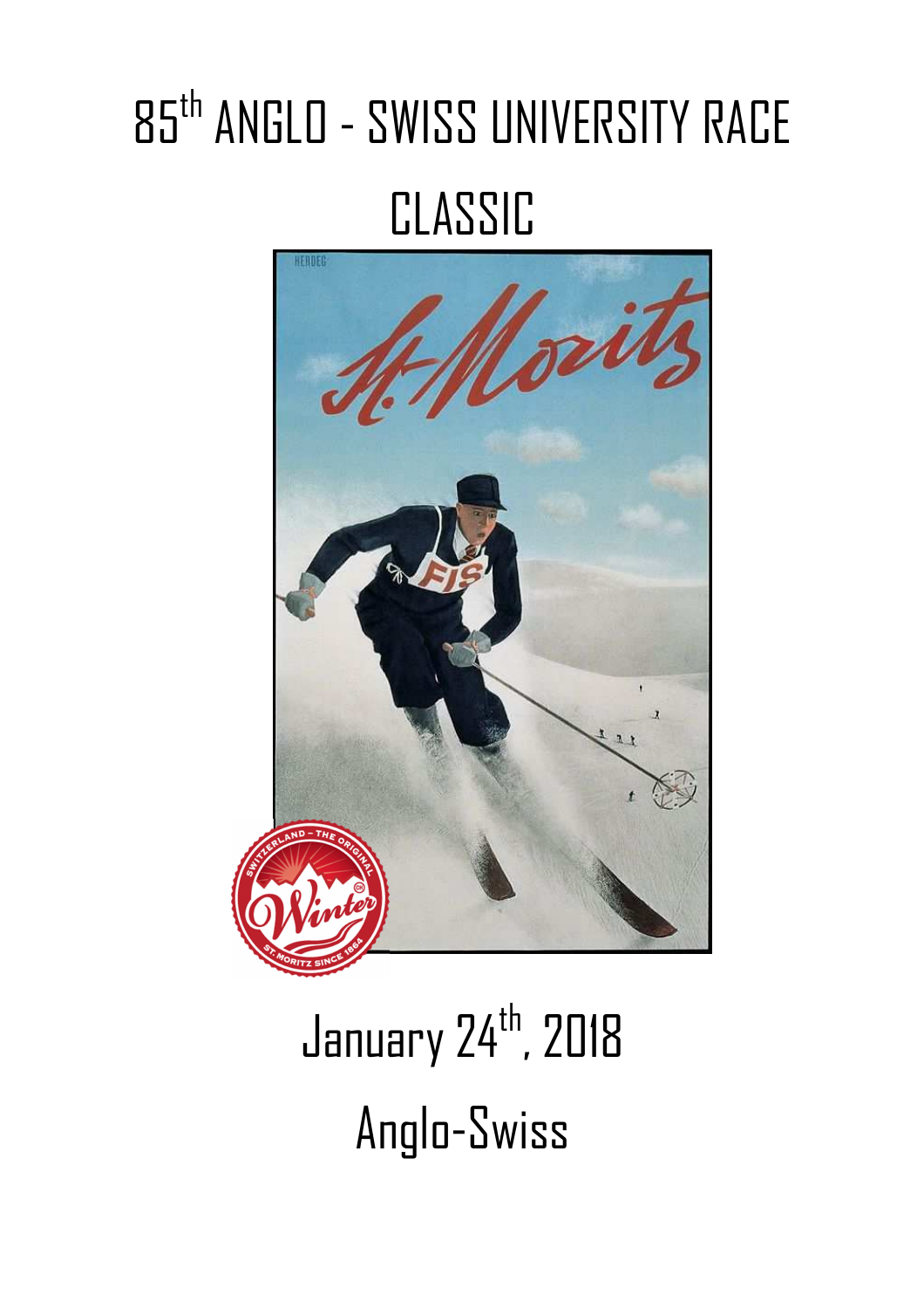# 85th ANGLO - SWISS UNIVERSITY RACE CLASSIC



# January 24<sup>th</sup>, 2018 Anglo-Swiss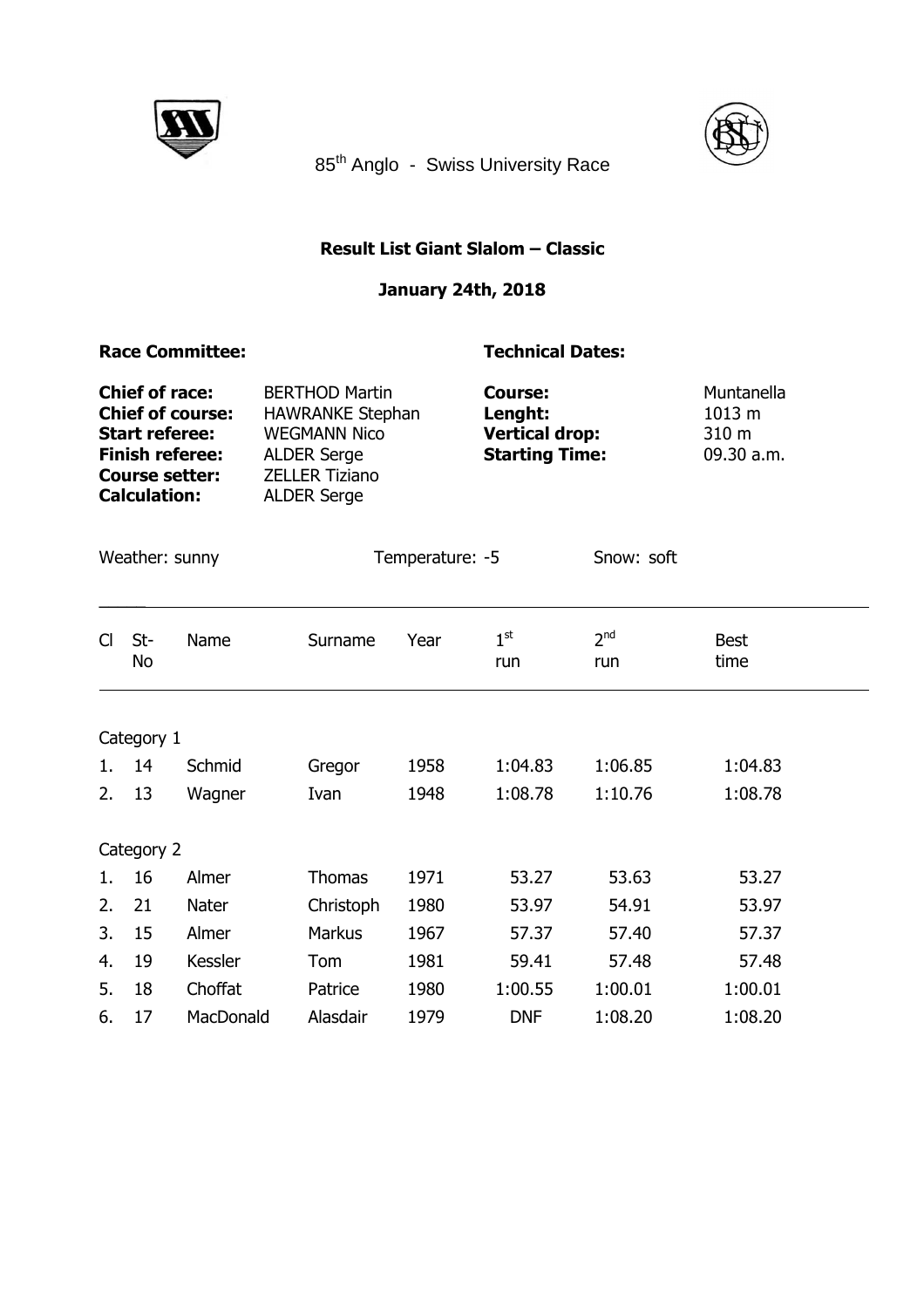



85<sup>th</sup> Anglo - Swiss University Race

## **Result List Giant Slalom – Classic**

## **January 24th, 2018**

### **Race Committee:** Technical Dates:

| <b>Chief of race:</b>   | <b>BERTHOD Martin</b>   | <b>Course:</b>        | Muntanella      |
|-------------------------|-------------------------|-----------------------|-----------------|
| <b>Chief of course:</b> | <b>HAWRANKE Stephan</b> | Lenght:               | 1013 m          |
| <b>Start referee:</b>   | <b>WEGMANN Nico</b>     | <b>Vertical drop:</b> | $310 \text{ m}$ |
| <b>Finish referee:</b>  | <b>ALDER Serge</b>      | <b>Starting Time:</b> | 09.30 a.m.      |
| <b>Course setter:</b>   | <b>ZELLER Tiziano</b>   |                       |                 |
| <b>Calculation:</b>     | <b>ALDER Serge</b>      |                       |                 |
|                         |                         |                       |                 |

| Weather: sunny |  |
|----------------|--|
|----------------|--|

 $\overline{\phantom{a}}$ 

Temperature: -5 Snow: soft

| CI | St-<br>No  | Name      | Surname       | Year | $1^{\rm st}$<br>run | 2 <sup>nd</sup><br>run | <b>Best</b><br>time |
|----|------------|-----------|---------------|------|---------------------|------------------------|---------------------|
|    | Category 1 |           |               |      |                     |                        |                     |
| 1. | 14         | Schmid    | Gregor        | 1958 | 1:04.83             | 1:06.85                | 1:04.83             |
| 2. | 13         | Wagner    | Ivan          | 1948 | 1:08.78             | 1:10.76                | 1:08.78             |
|    | Category 2 |           |               |      |                     |                        |                     |
| 1. | 16         | Almer     | Thomas        | 1971 | 53.27               | 53.63                  | 53.27               |
| 2. | 21         | Nater     | Christoph     | 1980 | 53.97               | 54.91                  | 53.97               |
| 3. | 15         | Almer     | <b>Markus</b> | 1967 | 57.37               | 57.40                  | 57.37               |
| 4. | 19         | Kessler   | Tom           | 1981 | 59.41               | 57.48                  | 57.48               |
| 5. | 18         | Choffat   | Patrice       | 1980 | 1:00.55             | 1:00.01                | 1:00.01             |
| 6. | 17         | MacDonald | Alasdair      | 1979 | <b>DNF</b>          | 1:08.20                | 1:08.20             |